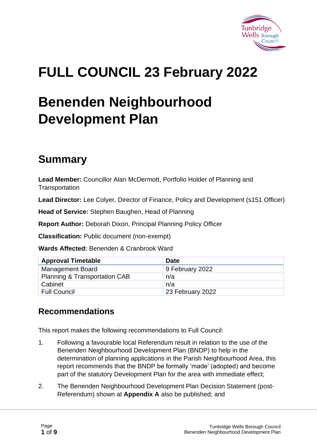

# **FULL COUNCIL 23 February 2022**

# **Benenden Neighbourhood Development Plan**

# **Summary**

**Lead Member:** Councillor Alan McDermott, Portfolio Holder of Planning and **Transportation** 

**Lead Director:** Lee Colyer, Director of Finance, Policy and Development (s151 Officer)

**Head of Service:** Stephen Baughen, Head of Planning

**Report Author:** Deborah Dixon, Principal Planning Policy Officer

**Classification:** Public document (non-exempt)

**Wards Affected:** Benenden & Cranbrook Ward

| <b>Approval Timetable</b>                | <b>Date</b>      |
|------------------------------------------|------------------|
| <b>Management Board</b>                  | 9 February 2022  |
| <b>Planning &amp; Transportation CAB</b> | n/a              |
| Cabinet                                  | n/a              |
| <b>Full Council</b>                      | 23 February 2022 |

#### **Recommendations**

This report makes the following recommendations to Full Council:

- 1. Following a favourable local Referendum result in relation to the use of the Benenden Neighbourhood Development Plan (BNDP) to help in the determination of planning applications in the Parish Neighbourhood Area, this report recommends that the BNDP be formally 'made' (adopted) and become part of the statutory Development Plan for the area with immediate effect;
- 2. The Benenden Neighbourhood Development Plan Decision Statement (post-Referendum) shown at **Appendix A** also be published; and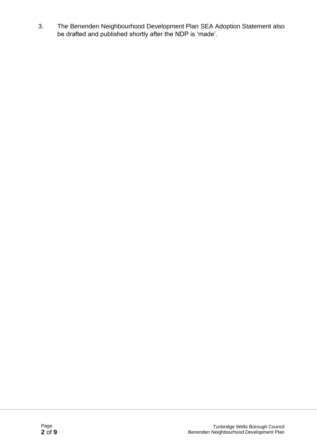3. The Benenden Neighbourhood Development Plan SEA Adoption Statement also be drafted and published shortly after the NDP is 'made'.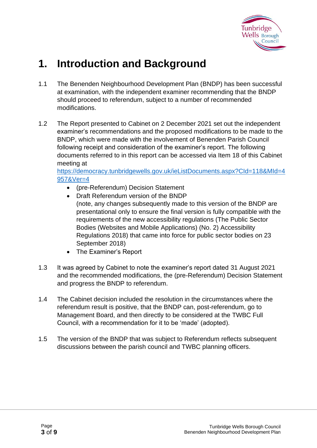

### **1. Introduction and Background**

- 1.1 The Benenden Neighbourhood Development Plan (BNDP) has been successful at examination, with the independent examiner recommending that the BNDP should proceed to referendum, subject to a number of recommended modifications.
- 1.2 The Report presented to Cabinet on 2 December 2021 set out the independent examiner's recommendations and the proposed modifications to be made to the BNDP, which were made with the involvement of Benenden Parish Council following receipt and consideration of the examiner's report. The following documents referred to in this report can be accessed via Item 18 of this Cabinet meeting at

[https://democracy.tunbridgewells.gov.uk/ieListDocuments.aspx?CId=118&MId=4](https://democracy.tunbridgewells.gov.uk/ieListDocuments.aspx?CId=118&MId=4957&Ver=4) [957&Ver=4](https://democracy.tunbridgewells.gov.uk/ieListDocuments.aspx?CId=118&MId=4957&Ver=4)

- (pre-Referendum) Decision Statement
- Draft Referendum version of the BNDP (note, any changes subsequently made to this version of the BNDP are presentational only to ensure the final version is fully compatible with the requirements of the new accessibility regulations (The Public Sector Bodies (Websites and Mobile Applications) (No. 2) Accessibility Regulations 2018) that came into force for public sector bodies on 23 September 2018)
- The Examiner's Report
- 1.3 It was agreed by Cabinet to note the examiner's report dated 31 August 2021 and the recommended modifications, the (pre-Referendum) Decision Statement and progress the BNDP to referendum.
- 1.4 The Cabinet decision included the resolution in the circumstances where the referendum result is positive, that the BNDP can, post-referendum, go to Management Board, and then directly to be considered at the TWBC Full Council, with a recommendation for it to be 'made' (adopted).
- 1.5 The version of the BNDP that was subject to Referendum reflects subsequent discussions between the parish council and TWBC planning officers.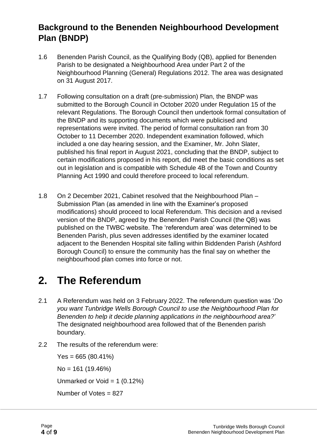#### **Background to the Benenden Neighbourhood Development Plan (BNDP)**

- 1.6 Benenden Parish Council, as the Qualifying Body (QB), applied for Benenden Parish to be designated a Neighbourhood Area under Part 2 of the Neighbourhood Planning (General) Regulations 2012. The area was designated on 31 August 2017.
- 1.7 Following consultation on a draft (pre-submission) Plan, the BNDP was submitted to the Borough Council in October 2020 under Regulation 15 of the relevant Regulations. The Borough Council then undertook formal consultation of the BNDP and its supporting documents which were publicised and representations were invited. The period of formal consultation ran from 30 October to 11 December 2020. Independent examination followed, which included a one day hearing session, and the Examiner, Mr. John Slater, published his final report in August 2021, concluding that the BNDP, subject to certain modifications proposed in his report, did meet the basic conditions as set out in legislation and is compatible with Schedule 4B of the Town and Country Planning Act 1990 and could therefore proceed to local referendum.
- 1.8 On 2 December 2021, Cabinet resolved that the Neighbourhood Plan Submission Plan (as amended in line with the Examiner's proposed modifications) should proceed to local Referendum. This decision and a revised version of the BNDP, agreed by the Benenden Parish Council (the QB) was published on the TWBC website. The 'referendum area' was determined to be Benenden Parish, plus seven addresses identified by the examiner located adjacent to the Benenden Hospital site falling within Biddenden Parish (Ashford Borough Council) to ensure the community has the final say on whether the neighbourhood plan comes into force or not.

## **2. The Referendum**

- 2.1 A Referendum was held on 3 February 2022. The referendum question was '*Do you want Tunbridge Wells Borough Council to use the Neighbourhood Plan for Benenden to help it decide planning applications in the neighbourhood area?*' The designated neighbourhood area followed that of the Benenden parish boundary.
- 2.2 The results of the referendum were:

 $Yes = 665 (80.41%)$ No = 161 (19.46%) Unmarked or Void =  $1 (0.12\%)$ Number of Votes = 827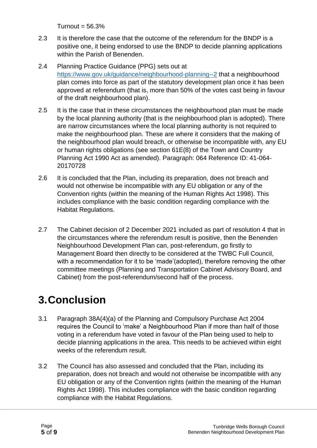$Turnout = 56.3%$ 

- 2.3 It is therefore the case that the outcome of the referendum for the BNDP is a positive one, it being endorsed to use the BNDP to decide planning applications within the Parish of Benenden.
- 2.4 Planning Practice Guidance (PPG) sets out at <https://www.gov.uk/guidance/neighbourhood-planning--2> that a neighbourhood plan comes into force as part of the statutory development plan once it has been approved at referendum (that is, more than 50% of the votes cast being in favour of the draft neighbourhood plan).
- 2.5 It is the case that in these circumstances the neighbourhood plan must be made by the local planning authority (that is the neighbourhood plan is adopted). There are narrow circumstances where the local planning authority is not required to make the neighbourhood plan. These are where it considers that the making of the neighbourhood plan would breach, or otherwise be incompatible with, any EU or human rights obligations (see section 61E(8) of the Town and Country Planning Act 1990 Act as amended). Paragraph: 064 Reference ID: 41-064- 20170728
- 2.6 It is concluded that the Plan, including its preparation, does not breach and would not otherwise be incompatible with any EU obligation or any of the Convention rights (within the meaning of the Human Rights Act 1998). This includes compliance with the basic condition regarding compliance with the Habitat Regulations.
- 2.7 The Cabinet decision of 2 December 2021 included as part of resolution 4 that in the circumstances where the referendum result is positive, then the Benenden Neighbourhood Development Plan can, post-referendum, go firstly to Management Board then directly to be considered at the TWBC Full Council, with a recommendation for it to be 'made'(adopted), therefore removing the other committee meetings (Planning and Transportation Cabinet Advisory Board, and Cabinet) from the post-referendum/second half of the process.

# **3.Conclusion**

- 3.1 Paragraph 38A(4)(a) of the Planning and Compulsory Purchase Act 2004 requires the Council to 'make' a Neighbourhood Plan if more than half of those voting in a referendum have voted in favour of the Plan being used to help to decide planning applications in the area. This needs to be achieved within eight weeks of the referendum result.
- 3.2 The Council has also assessed and concluded that the Plan, including its preparation, does not breach and would not otherwise be incompatible with any EU obligation or any of the Convention rights (within the meaning of the Human Rights Act 1998). This includes compliance with the basic condition regarding compliance with the Habitat Regulations.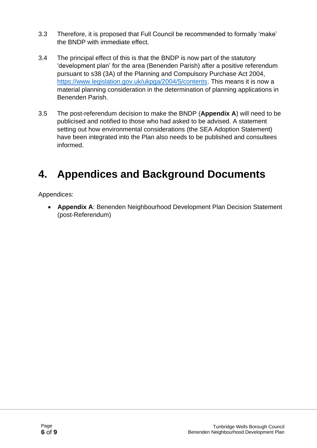- 3.3 Therefore, it is proposed that Full Council be recommended to formally 'make' the BNDP with immediate effect.
- 3.4 The principal effect of this is that the BNDP is now part of the statutory 'development plan' for the area (Benenden Parish) after a positive referendum pursuant to s38 (3A) of the Planning and Compulsory Purchase Act 2004, [https://www.legislation.gov.uk/ukpga/2004/5/contents.](https://www.legislation.gov.uk/ukpga/2004/5/contents) This means it is now a material planning consideration in the determination of planning applications in Benenden Parish.
- 3.5 The post-referendum decision to make the BNDP (**Appendix A**) will need to be publicised and notified to those who had asked to be advised. A statement setting out how environmental considerations (the SEA Adoption Statement) have been integrated into the Plan also needs to be published and consultees informed.

## **4. Appendices and Background Documents**

Appendices:

• **Appendix A**: Benenden Neighbourhood Development Plan Decision Statement (post-Referendum)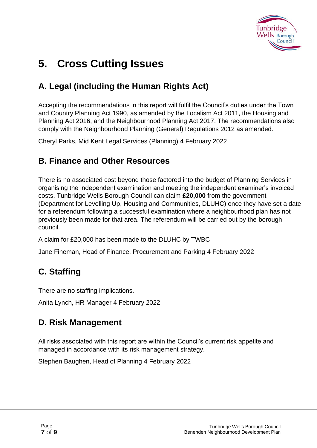

# **5. Cross Cutting Issues**

### **A. Legal (including the Human Rights Act)**

Accepting the recommendations in this report will fulfil the Council's duties under the Town and Country Planning Act 1990, as amended by the Localism Act 2011, the Housing and Planning Act 2016, and the Neighbourhood Planning Act 2017. The recommendations also comply with the Neighbourhood Planning (General) Regulations 2012 as amended.

Cheryl Parks, Mid Kent Legal Services (Planning) 4 February 2022

#### **B. Finance and Other Resources**

There is no associated cost beyond those factored into the budget of Planning Services in organising the independent examination and meeting the independent examiner's invoiced costs. Tunbridge Wells Borough Council can claim **£20,000** from the government (Department for Levelling Up, Housing and Communities, DLUHC) once they have set a date for a referendum following a successful examination where a neighbourhood plan has not previously been made for that area. The referendum will be carried out by the borough council.

A claim for £20,000 has been made to the DLUHC by TWBC

Jane Fineman, Head of Finance, Procurement and Parking 4 February 2022

### **C. Staffing**

There are no staffing implications.

Anita Lynch, HR Manager 4 February 2022

#### **D. Risk Management**

All risks associated with this report are within the Council's current risk appetite and managed in accordance with its risk management strategy.

Stephen Baughen, Head of Planning 4 February 2022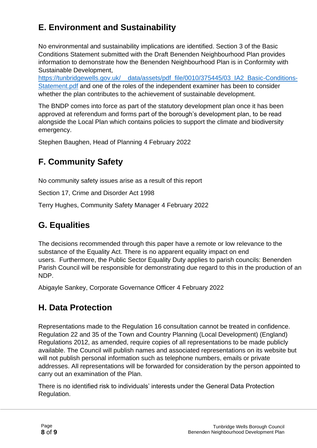### **E. Environment and Sustainability**

No environmental and sustainability implications are identified. Section 3 of the Basic Conditions Statement submitted with the Draft Benenden Neighbourhood Plan provides information to demonstrate how the Benenden Neighbourhood Plan is in Conformity with Sustainable Development,

https://tunbridgewells.gov.uk/\_data/assets/pdf\_file/0010/375445/03\_IA2\_Basic-Conditions-[Statement.pdf](https://tunbridgewells.gov.uk/__data/assets/pdf_file/0010/375445/03_IA2_Basic-Conditions-Statement.pdf) and one of the roles of the independent examiner has been to consider whether the plan contributes to the achievement of sustainable development.

The BNDP comes into force as part of the statutory development plan once it has been approved at referendum and forms part of the borough's development plan, to be read alongside the Local Plan which contains policies to support the climate and biodiversity emergency.

Stephen Baughen, Head of Planning 4 February 2022

### **F. Community Safety**

No community safety issues arise as a result of this report

Section 17, Crime and Disorder Act 1998

Terry Hughes, Community Safety Manager 4 February 2022

#### **G. Equalities**

The decisions recommended through this paper have a remote or low relevance to the substance of the Equality Act. There is no apparent equality impact on end users. Furthermore, the Public Sector Equality Duty applies to parish councils: Benenden Parish Council will be responsible for demonstrating due regard to this in the production of an NDP.

Abigayle Sankey, Corporate Governance Officer 4 February 2022

#### **H. Data Protection**

Representations made to the Regulation 16 consultation cannot be treated in confidence. Regulation 22 and 35 of the Town and Country Planning (Local Development) (England) Regulations 2012, as amended, require copies of all representations to be made publicly available. The Council will publish names and associated representations on its website but will not publish personal information such as telephone numbers, emails or private addresses. All representations will be forwarded for consideration by the person appointed to carry out an examination of the Plan.

There is no identified risk to individuals' interests under the General Data Protection Regulation.